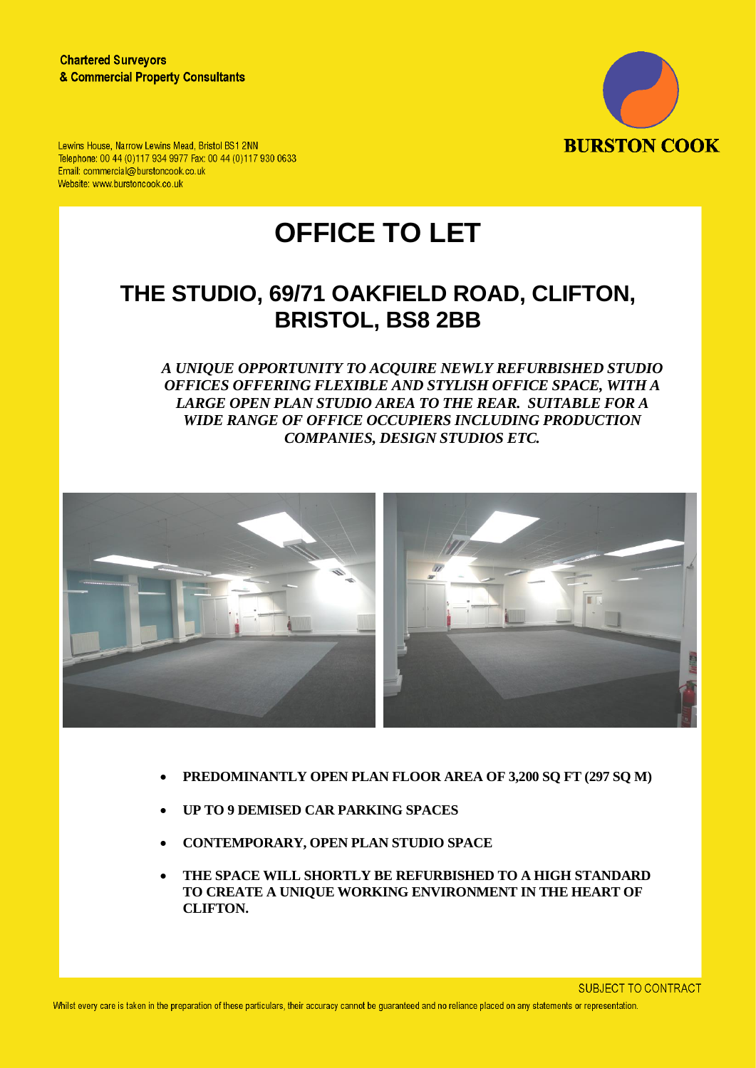

Lewins House, Narrow Lewins Mead, Bristol BS1 2NN Telephone: 00 44 (0)117 934 9977 Fax: 00 44 (0)117 930 0633 Email: commercial@burstoncook.co.uk Website: www.burstoncook.co.uk

# **OFFICE TO LET**

## **THE STUDIO, 69/71 OAKFIELD ROAD, CLIFTON, BRISTOL, BS8 2BB**

*A UNIQUE OPPORTUNITY TO ACQUIRE NEWLY REFURBISHED STUDIO OFFICES OFFERING FLEXIBLE AND STYLISH OFFICE SPACE, WITH A LARGE OPEN PLAN STUDIO AREA TO THE REAR. SUITABLE FOR A WIDE RANGE OF OFFICE OCCUPIERS INCLUDING PRODUCTION COMPANIES, DESIGN STUDIOS ETC.* 



- **PREDOMINANTLY OPEN PLAN FLOOR AREA OF 3,200 SQ FT (297 SQ M)**
- **UP TO 9 DEMISED CAR PARKING SPACES**
- **CONTEMPORARY, OPEN PLAN STUDIO SPACE**
- **THE SPACE WILL SHORTLY BE REFURBISHED TO A HIGH STANDARD TO CREATE A UNIQUE WORKING ENVIRONMENT IN THE HEART OF CLIFTON.**

**SUBJECT TO CONTRACT**